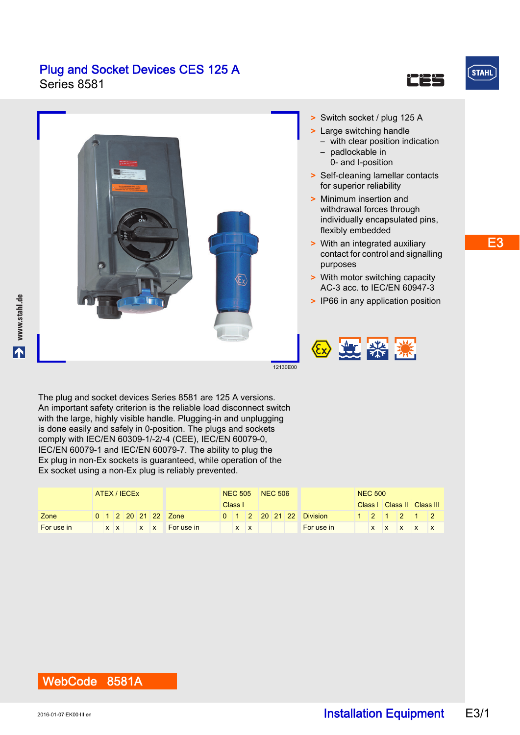

**STAHL** 

**www.stahl.de**

www.stahl.de



with the large, highly visible handle. Plugging-in and unplugging is done easily and safely in 0-position. The plugs and sockets comply with IEC/EN 60309-1/-2/-4 (CEE), IEC/EN 60079-0, IEC/EN 60079-1 and IEC/EN 60079-7. The ability to plug the Ex plug in non-Ex sockets is guaranteed, while operation of the Ex socket using a non-Ex plug is reliably prevented.

|            | ATEX / IECEX |  |  |  |         |                     | NEC 505 NEC 506 |   |  |  |                                   | <b>NEC 500</b>          |  |  |  |             |  |                    |
|------------|--------------|--|--|--|---------|---------------------|-----------------|---|--|--|-----------------------------------|-------------------------|--|--|--|-------------|--|--------------------|
|            |              |  |  |  | Class I |                     |                 |   |  |  | Class   Class   Class       Class |                         |  |  |  |             |  |                    |
| Zone       |              |  |  |  |         | 0 1 2 20 21 22 Zone |                 |   |  |  |                                   | 0 1 2 20 21 22 Division |  |  |  | 1 2 1 2 1 2 |  |                    |
| For use in |              |  |  |  |         | x x x x For use in  |                 | X |  |  |                                   | For use in              |  |  |  |             |  | $x \times x$ x x x |

### WebCode 8581A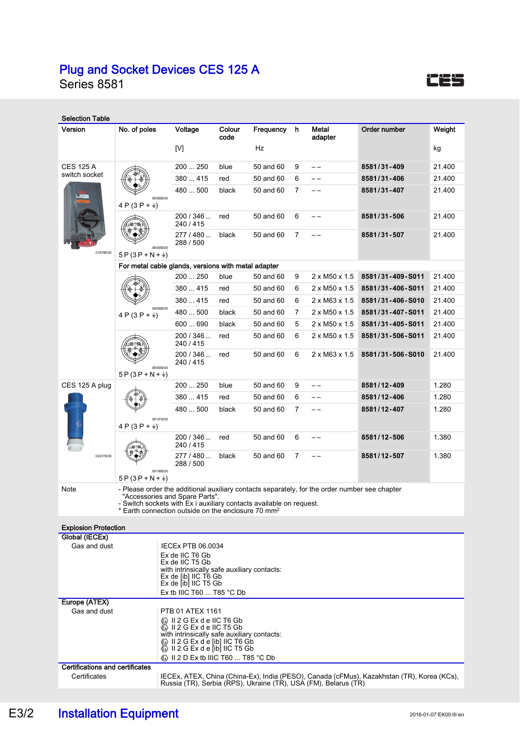Series 8581

| <b>Selection Table</b>                 |                                                                                                                                                                                                                                                                          |                                                                                                                                                                                                                                                                            |                                                                |           |                |                           |                  |                  |  |  |  |  |  |  |
|----------------------------------------|--------------------------------------------------------------------------------------------------------------------------------------------------------------------------------------------------------------------------------------------------------------------------|----------------------------------------------------------------------------------------------------------------------------------------------------------------------------------------------------------------------------------------------------------------------------|----------------------------------------------------------------|-----------|----------------|---------------------------|------------------|------------------|--|--|--|--|--|--|
| Version                                | No. of poles                                                                                                                                                                                                                                                             | Voltage                                                                                                                                                                                                                                                                    | Colour<br>$\mathbf h$<br>Metal<br>Frequency<br>code<br>adapter |           |                | Order number              | Weight           |                  |  |  |  |  |  |  |
|                                        |                                                                                                                                                                                                                                                                          | $[{\mathsf{V}}]$                                                                                                                                                                                                                                                           |                                                                | Hz        |                |                           |                  | kg               |  |  |  |  |  |  |
| <b>CES 125 A</b>                       |                                                                                                                                                                                                                                                                          | 200  250                                                                                                                                                                                                                                                                   | blue                                                           | 50 and 60 | 9              | $-$                       | 8581/31-409      | 21.400           |  |  |  |  |  |  |
| switch socket                          |                                                                                                                                                                                                                                                                          | 380  415                                                                                                                                                                                                                                                                   | red                                                            | 50 and 60 | 6              | --                        | 8581/31-406      | 21.400           |  |  |  |  |  |  |
|                                        | 06556E00<br>4 P (3 P + $\frac{1}{7}$ )                                                                                                                                                                                                                                   | 480  500                                                                                                                                                                                                                                                                   | black                                                          | 50 and 60 | 7              | --                        | 8581/31-407      | 21.400           |  |  |  |  |  |  |
|                                        |                                                                                                                                                                                                                                                                          | 200 / 346<br>240 / 415                                                                                                                                                                                                                                                     | red                                                            | 50 and 60 | 6              |                           | 8581/31-506      | 21.400           |  |  |  |  |  |  |
|                                        | 06555E00                                                                                                                                                                                                                                                                 | 277 / 480<br>288 / 500                                                                                                                                                                                                                                                     | black                                                          | 50 and 60 | 7              |                           | 8581/31-507      | 21.400           |  |  |  |  |  |  |
| 01678E00                               | $5P(3P+N+\frac{1}{2})$                                                                                                                                                                                                                                                   |                                                                                                                                                                                                                                                                            |                                                                |           |                |                           |                  |                  |  |  |  |  |  |  |
|                                        | For metal cable glands, versions with metal adapter                                                                                                                                                                                                                      |                                                                                                                                                                                                                                                                            |                                                                |           |                |                           |                  |                  |  |  |  |  |  |  |
|                                        |                                                                                                                                                                                                                                                                          | 200  250                                                                                                                                                                                                                                                                   | blue                                                           | 50 and 60 | 9              | 2 x M50 x 1.5             | 8581/31-409-S011 | 21.400           |  |  |  |  |  |  |
|                                        |                                                                                                                                                                                                                                                                          | 380  415                                                                                                                                                                                                                                                                   | red                                                            | 50 and 60 | 6              | 2 x M50 x 1.5             | 8581/31-406-S011 | 21.400           |  |  |  |  |  |  |
|                                        | 06556E00                                                                                                                                                                                                                                                                 | 380  415                                                                                                                                                                                                                                                                   | red                                                            | 50 and 60 | 6              | $2 \times M63 \times 1.5$ | 8581/31-406-S010 | 21.400           |  |  |  |  |  |  |
|                                        | 4 P (3 P + $\frac{1}{2}$ )                                                                                                                                                                                                                                               | 480  500                                                                                                                                                                                                                                                                   | black                                                          | 50 and 60 | $\overline{7}$ | 2 x M50 x 1.5             | 8581/31-407-S011 | 21.400           |  |  |  |  |  |  |
|                                        |                                                                                                                                                                                                                                                                          | 600  690                                                                                                                                                                                                                                                                   | black<br>red                                                   | 50 and 60 | 5<br>6         | 2 x M50 x 1.5             | 8581/31-405-S011 | 21.400<br>21.400 |  |  |  |  |  |  |
|                                        |                                                                                                                                                                                                                                                                          | 200 / 346<br>240 / 415                                                                                                                                                                                                                                                     |                                                                | 50 and 60 |                | 2 x M50 x 1.5             | 8581/31-506-S011 |                  |  |  |  |  |  |  |
|                                        | 06555E00<br>$5P(3P+N+\frac{1}{2})$                                                                                                                                                                                                                                       | 200 / 346<br>240 / 415                                                                                                                                                                                                                                                     | red                                                            | 50 and 60 | 6              | 2 x M63 x 1.5             | 8581/31-506-S010 | 21.400           |  |  |  |  |  |  |
| CES 125 A plug                         |                                                                                                                                                                                                                                                                          | 200  250                                                                                                                                                                                                                                                                   | blue                                                           | 50 and 60 | 9              | $ -$                      | 8581/12-409      | 1.280            |  |  |  |  |  |  |
|                                        |                                                                                                                                                                                                                                                                          | 380  415                                                                                                                                                                                                                                                                   | red                                                            | 50 and 60 | 6              | --                        | 8581/12-406      | 1.280            |  |  |  |  |  |  |
|                                        | 09191E00<br>4 P (3 P + $\frac{1}{2}$ )                                                                                                                                                                                                                                   | 480  500                                                                                                                                                                                                                                                                   | black                                                          | 50 and 60 | $\overline{7}$ |                           | 8581/12-407      | 1.280            |  |  |  |  |  |  |
|                                        |                                                                                                                                                                                                                                                                          | 200 / 346<br>240 / 415                                                                                                                                                                                                                                                     | red                                                            | 50 and 60 | 6              |                           | 8581/12-506      | 1.380            |  |  |  |  |  |  |
| 02231E00                               |                                                                                                                                                                                                                                                                          | 277 / 480<br>288 / 500                                                                                                                                                                                                                                                     | black                                                          | 50 and 60 | $\overline{7}$ |                           | 8581/12-507      | 1.380            |  |  |  |  |  |  |
|                                        | 09196E00<br>$5P(3P+N+\frac{1}{2})$                                                                                                                                                                                                                                       |                                                                                                                                                                                                                                                                            |                                                                |           |                |                           |                  |                  |  |  |  |  |  |  |
| Note                                   | - Please order the additional auxiliary contacts separately, for the order number see chapter<br>"Accessories and Spare Parts".<br>- Switch sockets with Ex i auxiliary contacts available on request.<br>* Earth connection outside on the enclosure 70 mm <sup>2</sup> |                                                                                                                                                                                                                                                                            |                                                                |           |                |                           |                  |                  |  |  |  |  |  |  |
| <b>Explosion Protection</b>            |                                                                                                                                                                                                                                                                          |                                                                                                                                                                                                                                                                            |                                                                |           |                |                           |                  |                  |  |  |  |  |  |  |
| Global (IECEx)                         |                                                                                                                                                                                                                                                                          |                                                                                                                                                                                                                                                                            |                                                                |           |                |                           |                  |                  |  |  |  |  |  |  |
| Gas and dust                           |                                                                                                                                                                                                                                                                          | <b>IECEX PTB 06.0034</b><br>Ex de IIC T6 Gb<br>Ex de IIC T5 Gb<br>with intrinsically safe auxiliary contacts:<br>Ex de [ib] IIC T6 Gb<br>$Ex$ de $ib$ IIC T5 Gb                                                                                                            |                                                                |           |                |                           |                  |                  |  |  |  |  |  |  |
|                                        |                                                                                                                                                                                                                                                                          | Ex tb IIIC T60 $\dots$ T85 °C Db                                                                                                                                                                                                                                           |                                                                |           |                |                           |                  |                  |  |  |  |  |  |  |
| Europe (ATEX)<br>PTB 01 ATEX 1161      |                                                                                                                                                                                                                                                                          |                                                                                                                                                                                                                                                                            |                                                                |           |                |                           |                  |                  |  |  |  |  |  |  |
| Gas and dust                           |                                                                                                                                                                                                                                                                          | Ka II 2 G Ex d e IIC T6 Gb<br>4 II 2 G Ex d e IIC T5 Gb<br>with intrinsically safe auxiliary contacts:<br>ⓒ II 2 G Ex d e [ib] IIC T6 Gb<br>$\overline{\text{C}}$ II 2 G Ex d e [ib] IIC T5 Gb<br>$\langle \overline{\mathbb{Q}} \rangle$ II 2 D Ex tb IIIC T60  T85 °C Db |                                                                |           |                |                           |                  |                  |  |  |  |  |  |  |
| <b>Certifications and certificates</b> |                                                                                                                                                                                                                                                                          |                                                                                                                                                                                                                                                                            |                                                                |           |                |                           |                  |                  |  |  |  |  |  |  |
|                                        |                                                                                                                                                                                                                                                                          |                                                                                                                                                                                                                                                                            |                                                                |           |                |                           |                  |                  |  |  |  |  |  |  |

Certificates IECEx, ATEX, China (China-Ex), India (PESO), Canada (cFMus), Kazakhstan (TR), Korea (KCs), Russia (TR), Serbia (RPS), Ukraine (TR), USA (FM), Belarus (TR)

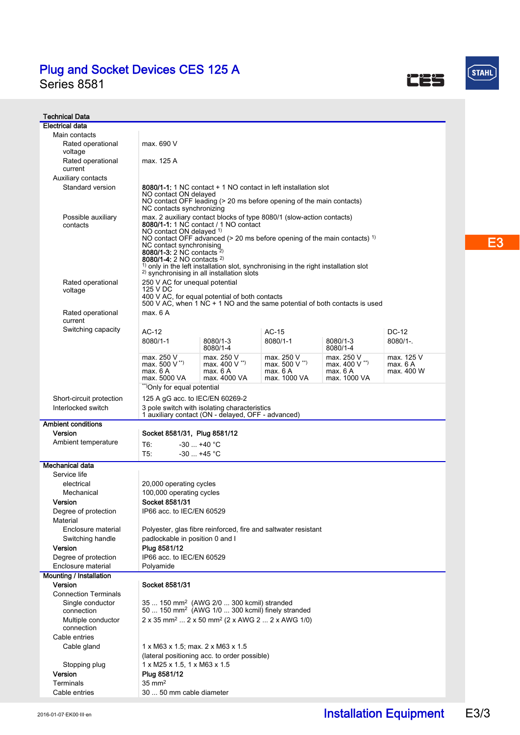Series 8581

Technical Data **Electrical data** Main contacts

| n contacts) |  |
|-------------|--|
| ontacts)    |  |
|             |  |
|             |  |

CES

| $\mathcal{L}(\mathcal{L})$ and $\mathcal{L}(\mathcal{L})$ and $\mathcal{L}(\mathcal{L})$<br><b>Contract Contract Contract Contract Contract Contract Contract Contract Contract Contract Contract Contract C</b><br><b>Service Service</b> |  |
|--------------------------------------------------------------------------------------------------------------------------------------------------------------------------------------------------------------------------------------------|--|

 $S$ TAHL

| Rated operational<br>voltage               | max. 690 V                                                                                                                                                                                                                                                                                                                                                                                                                                                                                            |                                                                                                    |                                                                |                                                           |                                      |  |  |  |  |
|--------------------------------------------|-------------------------------------------------------------------------------------------------------------------------------------------------------------------------------------------------------------------------------------------------------------------------------------------------------------------------------------------------------------------------------------------------------------------------------------------------------------------------------------------------------|----------------------------------------------------------------------------------------------------|----------------------------------------------------------------|-----------------------------------------------------------|--------------------------------------|--|--|--|--|
| Rated operational                          | max. 125 A                                                                                                                                                                                                                                                                                                                                                                                                                                                                                            |                                                                                                    |                                                                |                                                           |                                      |  |  |  |  |
| current                                    |                                                                                                                                                                                                                                                                                                                                                                                                                                                                                                       |                                                                                                    |                                                                |                                                           |                                      |  |  |  |  |
| Standard version                           | <b>Auxiliary contacts</b><br>8080/1-1: 1 NC contact + 1 NO contact in left installation slot<br>NO contact ON delayed<br>NO contact OFF leading (> 20 ms before opening of the main contacts)<br>NC contacts synchronizing                                                                                                                                                                                                                                                                            |                                                                                                    |                                                                |                                                           |                                      |  |  |  |  |
| Possible auxiliary<br>contacts             | max. 2 auxiliary contact blocks of type 8080/1 (slow-action contacts)<br>8080/1-1: 1 NC contact / 1 NO contact<br>NO contact ON delayed <sup>1)</sup><br>NO contact OFF advanced ( $>$ 20 ms before opening of the main contacts) <sup>1)</sup><br>NC contact synchronising<br>8080/1-3: 2 NC contacts $2)$<br>8080/1-4: 2 NO contacts <sup>2)</sup><br>$1$ only in the left installation slot, synchronising in the right installation slot<br><sup>2)</sup> synchronising in all installation slots |                                                                                                    |                                                                |                                                           |                                      |  |  |  |  |
| Rated operational<br>voltage               | 250 V AC for unequal potential<br>125 V DC<br>400 V AC, for equal potential of both contacts<br>500 V AC, when 1 NC + 1 NO and the same potential of both contacts is used                                                                                                                                                                                                                                                                                                                            |                                                                                                    |                                                                |                                                           |                                      |  |  |  |  |
| Rated operational                          | max. 6 A                                                                                                                                                                                                                                                                                                                                                                                                                                                                                              |                                                                                                    |                                                                |                                                           |                                      |  |  |  |  |
| current<br>Switching capacity              | $AC-12$<br>8080/1-1                                                                                                                                                                                                                                                                                                                                                                                                                                                                                   | 8080/1-3<br>8080/1-4                                                                               | AC-15<br>8080/1-1                                              | 8080/1-3<br>8080/1-4                                      | DC-12<br>$8080/1 -$                  |  |  |  |  |
|                                            | max. 250 V<br>max. $500 V^{\prime\prime}$<br>max. 6A<br>max. 5000 VA                                                                                                                                                                                                                                                                                                                                                                                                                                  | max. 250 V<br>max. $400 V$ <sup>**</sup><br>max. 6 A<br>max. 4000 VA                               | max. 250 V<br>max. 500 V **)<br>max. 6 A<br>max. 1000 VA       | max. 250 V<br>max. $400 V$ **)<br>max. 6A<br>max. 1000 VA | max. 125 V<br>max. 6 A<br>max. 400 W |  |  |  |  |
|                                            | "Only for equal potential"                                                                                                                                                                                                                                                                                                                                                                                                                                                                            |                                                                                                    |                                                                |                                                           |                                      |  |  |  |  |
| Short-circuit protection                   | 125 A gG acc. to IEC/EN 60269-2                                                                                                                                                                                                                                                                                                                                                                                                                                                                       |                                                                                                    |                                                                |                                                           |                                      |  |  |  |  |
| Interlocked switch                         |                                                                                                                                                                                                                                                                                                                                                                                                                                                                                                       | 3 pole switch with isolating characteristics<br>1 auxiliary contact (ON - delayed, OFF - advanced) |                                                                |                                                           |                                      |  |  |  |  |
| <b>Ambient conditions</b>                  |                                                                                                                                                                                                                                                                                                                                                                                                                                                                                                       |                                                                                                    |                                                                |                                                           |                                      |  |  |  |  |
| Version                                    | Socket 8581/31, Plug 8581/12                                                                                                                                                                                                                                                                                                                                                                                                                                                                          |                                                                                                    |                                                                |                                                           |                                      |  |  |  |  |
| Ambient temperature                        | $-30$ $+40$ °C<br>T6:<br>T5.<br>$-30+45$ °C                                                                                                                                                                                                                                                                                                                                                                                                                                                           |                                                                                                    |                                                                |                                                           |                                      |  |  |  |  |
| Mechanical data                            |                                                                                                                                                                                                                                                                                                                                                                                                                                                                                                       |                                                                                                    |                                                                |                                                           |                                      |  |  |  |  |
| Service life                               |                                                                                                                                                                                                                                                                                                                                                                                                                                                                                                       |                                                                                                    |                                                                |                                                           |                                      |  |  |  |  |
| electrical                                 | 20,000 operating cycles                                                                                                                                                                                                                                                                                                                                                                                                                                                                               |                                                                                                    |                                                                |                                                           |                                      |  |  |  |  |
| Mechanical                                 | 100,000 operating cycles                                                                                                                                                                                                                                                                                                                                                                                                                                                                              |                                                                                                    |                                                                |                                                           |                                      |  |  |  |  |
| Version                                    | Socket 8581/31                                                                                                                                                                                                                                                                                                                                                                                                                                                                                        |                                                                                                    |                                                                |                                                           |                                      |  |  |  |  |
| Degree of protection<br>Material           | IP66 acc. to IEC/EN 60529                                                                                                                                                                                                                                                                                                                                                                                                                                                                             |                                                                                                    |                                                                |                                                           |                                      |  |  |  |  |
| Enclosure material                         |                                                                                                                                                                                                                                                                                                                                                                                                                                                                                                       |                                                                                                    | Polyester, glas fibre reinforced, fire and saltwater resistant |                                                           |                                      |  |  |  |  |
| Switching handle                           | padlockable in position 0 and I                                                                                                                                                                                                                                                                                                                                                                                                                                                                       |                                                                                                    |                                                                |                                                           |                                      |  |  |  |  |
| Version                                    | Plua 8581/12<br>IP66 acc. to IEC/EN 60529                                                                                                                                                                                                                                                                                                                                                                                                                                                             |                                                                                                    |                                                                |                                                           |                                      |  |  |  |  |
| Degree of protection<br>Enclosure material | Polyamide                                                                                                                                                                                                                                                                                                                                                                                                                                                                                             |                                                                                                    |                                                                |                                                           |                                      |  |  |  |  |
| <b>Mounting / Installation</b>             |                                                                                                                                                                                                                                                                                                                                                                                                                                                                                                       |                                                                                                    |                                                                |                                                           |                                      |  |  |  |  |
| Version                                    | Socket 8581/31                                                                                                                                                                                                                                                                                                                                                                                                                                                                                        |                                                                                                    |                                                                |                                                           |                                      |  |  |  |  |
| <b>Connection Terminals</b>                |                                                                                                                                                                                                                                                                                                                                                                                                                                                                                                       |                                                                                                    |                                                                |                                                           |                                      |  |  |  |  |
| Single conductor<br>connection             | 35  150 mm <sup>2</sup> (AWG 2/0  300 kcmil) stranded<br>50  150 mm <sup>2</sup> (AWG 1/0  300 kcmil) finely stranded                                                                                                                                                                                                                                                                                                                                                                                 |                                                                                                    |                                                                |                                                           |                                      |  |  |  |  |
| Multiple conductor<br>connection           | $2 \times 35$ mm <sup>2</sup> $2 \times 50$ mm <sup>2</sup> ( $2 \times$ AWG $2$ $2 \times$ AWG 1/0)                                                                                                                                                                                                                                                                                                                                                                                                  |                                                                                                    |                                                                |                                                           |                                      |  |  |  |  |
| Cable entries                              |                                                                                                                                                                                                                                                                                                                                                                                                                                                                                                       |                                                                                                    |                                                                |                                                           |                                      |  |  |  |  |
| Cable gland                                | 1 x M63 x 1.5; max. 2 x M63 x 1.5                                                                                                                                                                                                                                                                                                                                                                                                                                                                     |                                                                                                    |                                                                |                                                           |                                      |  |  |  |  |
| Stopping plug                              | $1 \times M25 \times 1.5$ , $1 \times M63 \times 1.5$                                                                                                                                                                                                                                                                                                                                                                                                                                                 | (lateral positioning acc. to order possible)                                                       |                                                                |                                                           |                                      |  |  |  |  |
| Version                                    | Plug 8581/12                                                                                                                                                                                                                                                                                                                                                                                                                                                                                          |                                                                                                    |                                                                |                                                           |                                      |  |  |  |  |
| Terminals                                  | $35 \text{ mm}^2$                                                                                                                                                                                                                                                                                                                                                                                                                                                                                     |                                                                                                    |                                                                |                                                           |                                      |  |  |  |  |

Cable entries 30 ... 50 mm cable diameter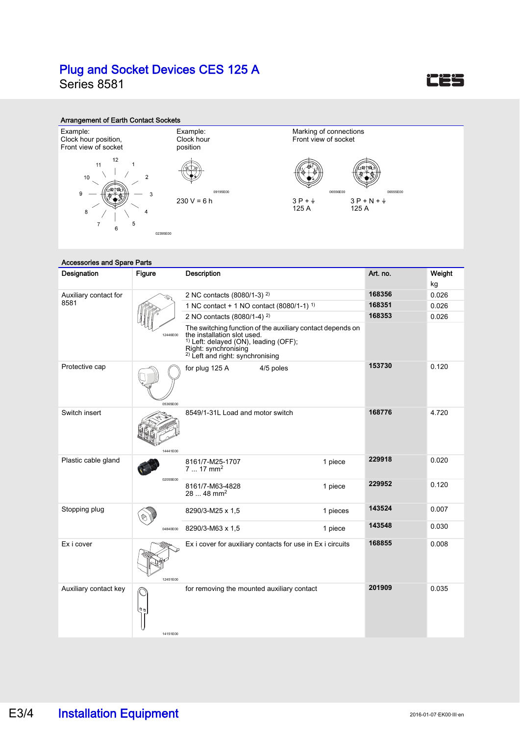Series 8581



#### Arrangement of Earth Contact Sockets



#### Accessories and Spare Parts Designation Figure Description Art. no. Weight kg 2 NC contacts (8080/1-3) 2) **168356** 0.026 Auxiliary contact for 8581 1 NC contact + 1 NO contact (8080/1-1) 1) **168351** 0.026 2 NO contacts (8080/1-4) 2) **168353** 0.026 The switching function of the auxiliary contact depends on 12446E00 the installation slot used. 1) Left: delayed (ON), leading (OFF); Right: synchronising<br><sup>2)</sup> Left and right: synchronising **153730** 0.120 Protective cap for plug 125 A 4/5 poles 05365E00 8549/1-31L Load and motor switch **168776** 4.720 Switch insert 14441E00 **229918** 0.020 Plastic cable gland 1 piece 8161/7-M25-1707<br>7 ... 17 mm<sup>2</sup> 02055E00 **229952** 0.120 8161/7-M63-4828 1 piece 28 ... 48 mm2 **143524** 0.007 Stopping plug 8290/3-M25 x 1,5 1 pieces  $\bigotimes$ **143548** 0.030 8290/3-M63 x 1,5 1 piece 04840E00 Ex i cover Ex i cover for auxiliary contacts for use in Ex i circuits **168855** 0.008 12451E00 for removing the mounted auxiliary contact **201909** 0.035 Auxiliary contact key 14151E00